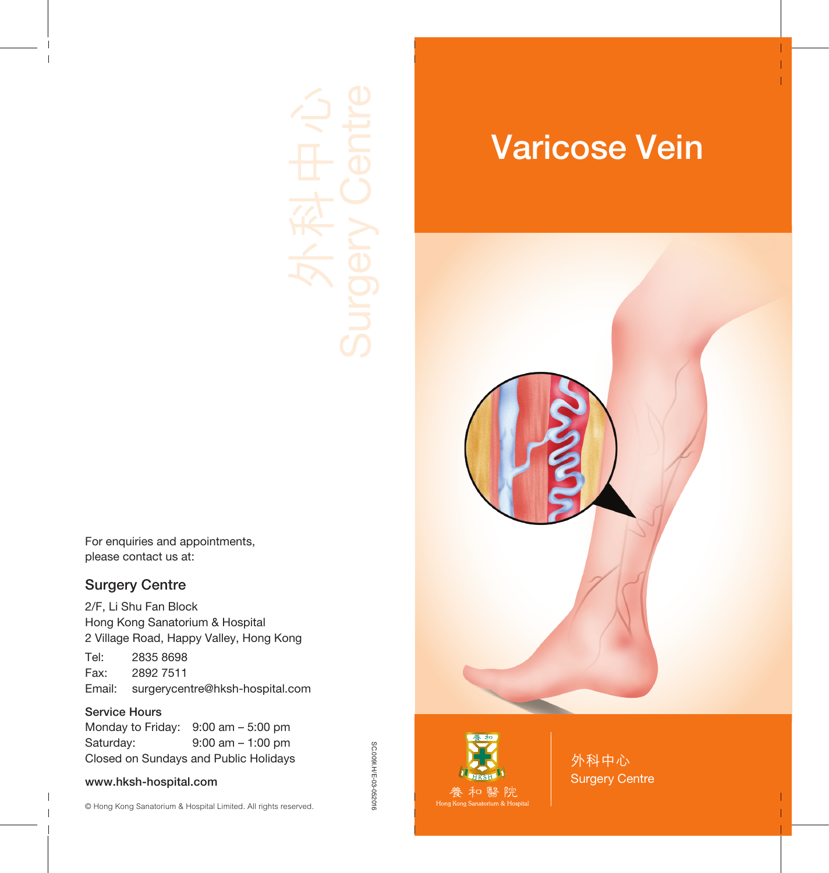For enquiries and appointments, please contact us at:

#### Surgery Centre

2/F, Li Shu Fan Block Hong Kong Sanatorium & Hospital 2 Village Road, Happy Valley, Hong Kong

Tel: 2835 8698 Fax: 2892 7511 Email: surgerycentre@hksh-hospital.com

#### Service Hours

Monday to Friday: 9:00 am – 5:00 pm Saturday: 9:00 am – 1:00 pm Closed on Sundays and Public Holidays

#### www.hksh-hospital.com

SC.009l.H/E-03-052016 SC.009I.H/E-03-052016

# Varicose Vein





外科中心 Surgery Centre